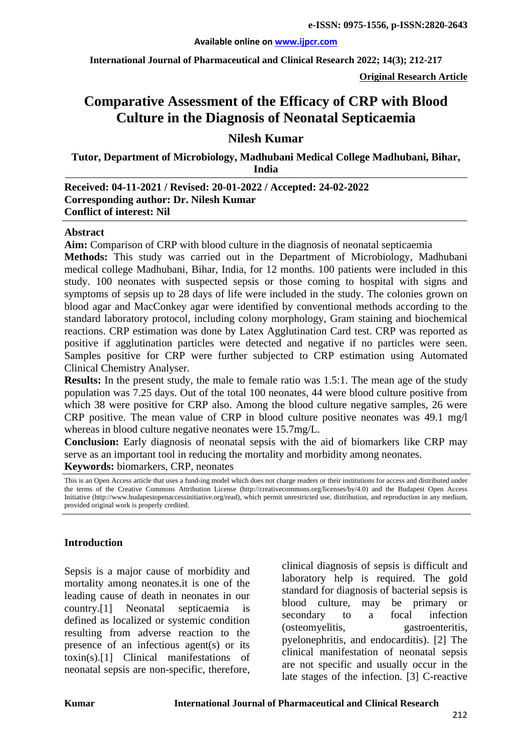**International Journal of Pharmaceutical and Clinical Research 2022; 14(3); 212-217**

**Original Research Article**

# **Comparative Assessment of the Efficacy of CRP with Blood Culture in the Diagnosis of Neonatal Septicaemia**

### **Nilesh Kumar**

**Tutor, Department of Microbiology, Madhubani Medical College Madhubani, Bihar, India**

#### **Received: 04-11-2021 / Revised: 20-01-2022 / Accepted: 24-02-2022 Corresponding author: Dr. Nilesh Kumar Conflict of interest: Nil**

#### **Abstract**

**Aim:** Comparison of CRP with blood culture in the diagnosis of neonatal septicaemia

**Methods:** This study was carried out in the Department of Microbiology, Madhubani medical college Madhubani, Bihar, India, for 12 months. 100 patients were included in this study. 100 neonates with suspected sepsis or those coming to hospital with signs and symptoms of sepsis up to 28 days of life were included in the study. The colonies grown on blood agar and MacConkey agar were identified by conventional methods according to the standard laboratory protocol, including colony morphology, Gram staining and biochemical reactions. CRP estimation was done by Latex Agglutination Card test. CRP was reported as positive if agglutination particles were detected and negative if no particles were seen. Samples positive for CRP were further subjected to CRP estimation using Automated Clinical Chemistry Analyser.

**Results:** In the present study, the male to female ratio was 1.5:1. The mean age of the study population was 7.25 days. Out of the total 100 neonates, 44 were blood culture positive from which 38 were positive for CRP also. Among the blood culture negative samples, 26 were CRP positive. The mean value of CRP in blood culture positive neonates was 49.1 mg/l whereas in blood culture negative neonates were 15.7mg/L.

**Conclusion:** Early diagnosis of neonatal sepsis with the aid of biomarkers like CRP may serve as an important tool in reducing the mortality and morbidity among neonates. **Keywords:** biomarkers, CRP, neonates

This is an Open Access article that uses a fund-ing model which does not charge readers or their institutions for access and distributed under the terms of the Creative Commons Attribution License (http://creativecommons.org/licenses/by/4.0) and the Budapest Open Access Initiative (http://www.budapestopenaccessinitiative.org/read), which permit unrestricted use, distribution, and reproduction in any medium, provided original work is properly credited.

#### **Introduction**

Sepsis is a major cause of morbidity and mortality among neonates.it is one of the leading cause of death in neonates in our country.[1] Neonatal septicaemia is defined as localized or systemic condition resulting from adverse reaction to the presence of an infectious agent(s) or its toxin(s).[1] Clinical manifestations of neonatal sepsis are non-specific, therefore,

clinical diagnosis of sepsis is difficult and laboratory help is required. The gold standard for diagnosis of bacterial sepsis is blood culture, may be primary or secondary to a focal infection (osteomyelitis, gastroenteritis, pyelonephritis, and endocarditis). [2] The clinical manifestation of neonatal sepsis are not specific and usually occur in the late stages of the infection. [\[3\]](#page-4-0) C-reactive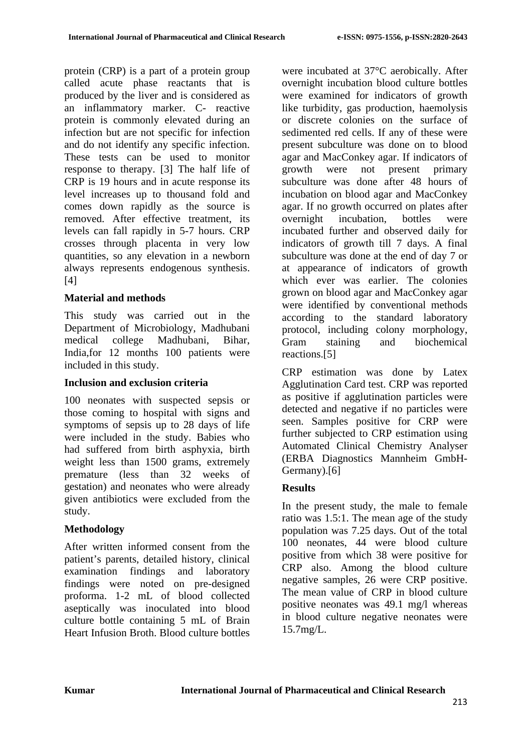protein (CRP) is a part of a protein group called acute phase reactants that is produced by the liver and is considered as an inflammatory marker. C- reactive protein is commonly elevated during an infection but are not specific for infection and do not identify any specific infection. These tests can be used to monitor response to therapy. [3] The half life of CRP is 19 hours and in acute response its level increases up to thousand fold and comes down rapidly as the source is removed. After effective treatment, its levels can fall rapidly in 5-7 hours. CRP crosses through placenta in very low quantities, so any elevation in a newborn always represents endogenous synthesis.  $[4]$ 

### **Material and methods**

This study was carried out in the Department of Microbiology, Madhubani medical college Madhubani, Bihar, India,for 12 months 100 patients were included in this study.

### **Inclusion and exclusion criteria**

100 neonates with suspected sepsis or those coming to hospital with signs and symptoms of sepsis up to 28 days of life were included in the study. Babies who had suffered from birth asphyxia, birth weight less than 1500 grams, extremely premature (less than 32 weeks of gestation) and neonates who were already given antibiotics were excluded from the study.

### **Methodology**

After written informed consent from the patient's parents, detailed history, clinical examination findings and laboratory findings were noted on pre-designed proforma. 1-2 mL of blood collected aseptically was inoculated into blood culture bottle containing 5 mL of Brain Heart Infusion Broth. Blood culture bottles

were incubated at 37°C aerobically. After overnight incubation blood culture bottles were examined for indicators of growth like turbidity, gas production, haemolysis or discrete colonies on the surface of sedimented red cells. If any of these were present subculture was done on to blood agar and MacConkey agar. If indicators of growth were not present primary subculture was done after 48 hours of incubation on blood agar and MacConkey agar. If no growth occurred on plates after overnight incubation, bottles were incubated further and observed daily for indicators of growth till 7 days. A final subculture was done at the end of day 7 or at appearance of indicators of growth which ever was earlier. The colonies grown on blood agar and MacConkey agar were identified by conventional methods according to the standard laboratory protocol, including colony morphology, Gram staining and biochemical reactions.[5]

CRP estimation was done by Latex Agglutination Card test. CRP was reported as positive if agglutination particles were detected and negative if no particles were seen. Samples positive for CRP were further subjected to CRP estimation using Automated Clinical Chemistry Analyser (ERBA Diagnostics Mannheim GmbH-Germany).[6]

### **Results**

In the present study, the male to female ratio was 1.5:1. The mean age of the study population was 7.25 days. Out of the total 100 neonates, 44 were blood culture positive from which 38 were positive for CRP also. Among the blood culture negative samples, 26 were CRP positive. The mean value of CRP in blood culture positive neonates was 49.1 mg/l whereas in blood culture negative neonates were 15.7mg/L.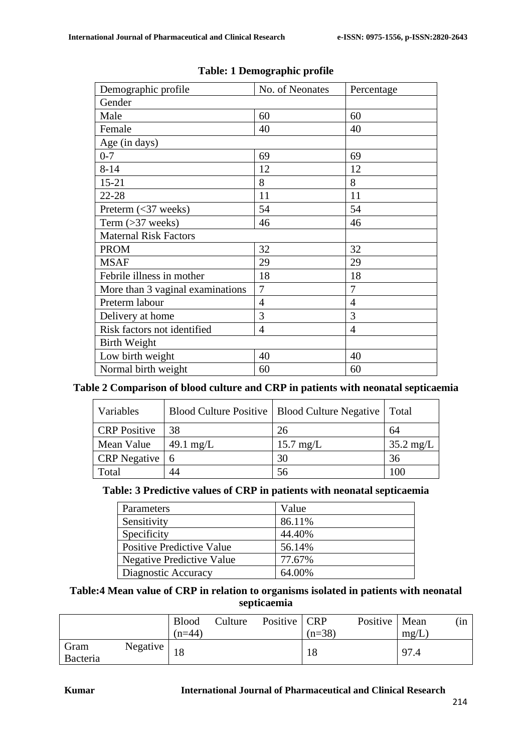| Demographic profile              | No. of Neonates | Percentage     |  |
|----------------------------------|-----------------|----------------|--|
| Gender                           |                 |                |  |
| Male                             | 60              | 60             |  |
| Female                           | 40              | 40             |  |
| Age (in days)                    |                 |                |  |
| $0 - 7$                          | 69              | 69             |  |
| $8 - 14$                         | 12              | 12             |  |
| $15 - 21$                        | 8               | 8              |  |
| 22-28                            | 11              | 11             |  |
| Preterm $(\leq 37$ weeks)        | 54              | 54             |  |
| Term $(>37$ weeks)               | 46              | 46             |  |
| <b>Maternal Risk Factors</b>     |                 |                |  |
| <b>PROM</b>                      | 32              | 32             |  |
| <b>MSAF</b>                      | 29              | 29             |  |
| Febrile illness in mother        | 18              | 18             |  |
| More than 3 vaginal examinations | $\overline{7}$  | $\overline{7}$ |  |
| Preterm labour                   | $\overline{4}$  | $\overline{4}$ |  |
| Delivery at home                 | 3               | 3              |  |
| Risk factors not identified      | $\overline{4}$  | $\overline{4}$ |  |
| <b>Birth Weight</b>              |                 |                |  |
| Low birth weight                 | 40              | 40             |  |
| Normal birth weight              | 60              | 60             |  |

#### **Table: 1 Demographic profile**

## **Table 2 Comparison of blood culture and CRP in patients with neonatal septicaemia**

| Variables           |           | Blood Culture Positive   Blood Culture Negative   Total |                     |
|---------------------|-----------|---------------------------------------------------------|---------------------|
| <b>CRP</b> Positive | 38        | 26                                                      | 64                  |
| Mean Value          | 49.1 mg/L | $15.7 \text{ mg/L}$                                     | $35.2 \text{ mg/L}$ |
| CRP Negative   6    |           | 30                                                      | 36                  |
| Total               | 44        | 56                                                      | 100                 |

### **Table: 3 Predictive values of CRP in patients with neonatal septicaemia**

| Parameters                       | Value  |
|----------------------------------|--------|
| Sensitivity                      | 86.11% |
| Specificity                      | 44.40% |
| <b>Positive Predictive Value</b> | 56.14% |
| <b>Negative Predictive Value</b> | 77.67% |
| Diagnostic Accuracy              | 64.00% |

### **Table:4 Mean value of CRP in relation to organisms isolated in patients with neonatal septicaemia**

|                              | <b>Blood</b><br>$(n=44)$ | Culture | Positive   CRP | $(n=38)$ | Positive   Mean | mg/L | (in |
|------------------------------|--------------------------|---------|----------------|----------|-----------------|------|-----|
| Gram<br>Negative<br>Bacteria |                          |         |                | 18       |                 | 97.4 |     |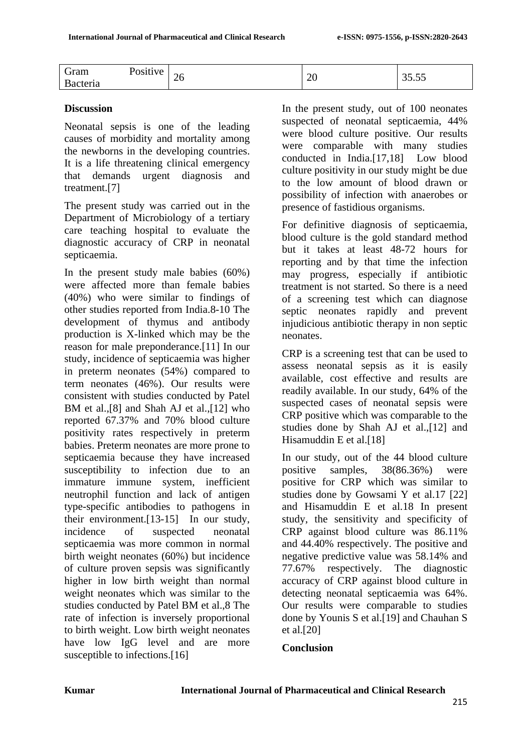| $\epsilon$<br>Gram | Positive | $\sim$  |        | ---   |
|--------------------|----------|---------|--------|-------|
| Bacteria           |          | ້<br>__ | $\sim$ | JJ.JJ |

### **Discussion**

Neonatal sepsis is one of the leading causes of morbidity and mortality among the newborns in the developing countries. It is a life threatening clinical emergency that demands urgent diagnosis and treatment.[7]

The present study was carried out in the Department of Microbiology of a tertiary care teaching hospital to evaluate the diagnostic accuracy of CRP in neonatal septicaemia.

In the present study male babies (60%) were affected more than female babies (40%) who were similar to findings of other studies reported from India.8-10 The development of thymus and antibody production is X-linked which may be the reason for male preponderance.[11] In our study, incidence of septicaemia was higher in preterm neonates (54%) compared to term neonates (46%). Our results were consistent with studies conducted by Patel BM et al., [8] and Shah AJ et al., [12] who reported 67.37% and 70% blood culture positivity rates respectively in preterm babies. Preterm neonates are more prone to septicaemia because they have increased susceptibility to infection due to an immature immune system, inefficient neutrophil function and lack of antigen type-specific antibodies to pathogens in their environment.[13-15] In our study, incidence of suspected neonatal septicaemia was more common in normal birth weight neonates (60%) but incidence of culture proven sepsis was significantly higher in low birth weight than normal weight neonates which was similar to the studies conducted by Patel BM et al.,8 The rate of infection is inversely proportional to birth weight. Low birth weight neonates have low IgG level and are more susceptible to infections.<sup>[16]</sup>

In the present study, out of 100 neonates suspected of neonatal septicaemia, 44% were blood culture positive. Our results were comparable with many studies conducted in India.[17,18] Low blood culture positivity in our study might be due to the low amount of blood drawn or possibility of infection with anaerobes or presence of fastidious organisms.

For definitive diagnosis of septicaemia, blood culture is the gold standard method but it takes at least 48-72 hours for reporting and by that time the infection may progress, especially if antibiotic treatment is not started. So there is a need of a screening test which can diagnose septic neonates rapidly and prevent injudicious antibiotic therapy in non septic neonates.

CRP is a screening test that can be used to assess neonatal sepsis as it is easily available, cost effective and results are readily available. In our study, 64% of the suspected cases of neonatal sepsis were CRP positive which was comparable to the studies done by Shah AJ et al.,[12] and Hisamuddin E et al.[18]

In our study, out of the 44 blood culture positive samples, 38(86.36%) were positive for CRP which was similar to studies done by Gowsami Y et al.17 [22] and Hisamuddin E et al.18 In present study, the sensitivity and specificity of CRP against blood culture was 86.11% and 44.40% respectively. The positive and negative predictive value was 58.14% and 77.67% respectively. The diagnostic accuracy of CRP against blood culture in detecting neonatal septicaemia was 64%. Our results were comparable to studies done by Younis S et al.[19] and Chauhan S et al.[20]

### **Conclusion**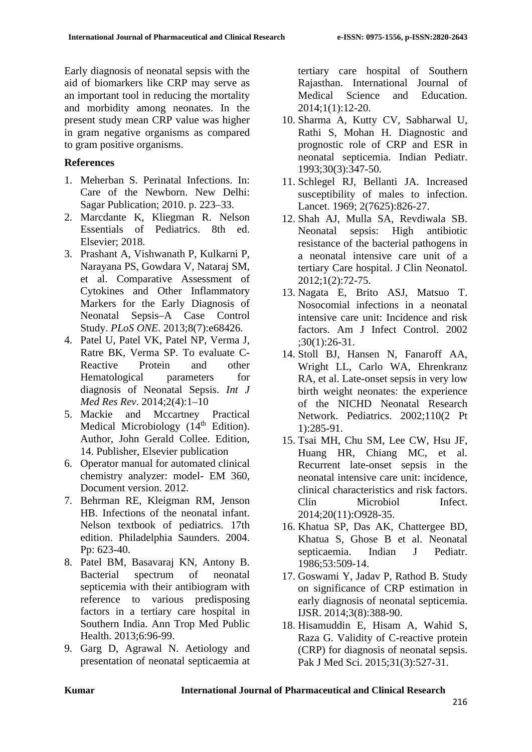Early diagnosis of neonatal sepsis with the aid of biomarkers like CRP may serve as an important tool in reducing the mortality and morbidity among neonates. In the present study mean CRP value was higher in gram negative organisms as compared to gram positive organisms.

### **References**

- 1. Meherban S. Perinatal Infections. In: Care of the Newborn. New Delhi: Sagar Publication; 2010. p. 223–33.
- 2. Marcdante K, Kliegman R. Nelson Essentials of Pediatrics. 8th ed. Elsevier; 2018.
- <span id="page-4-0"></span>3. Prashant A, Vishwanath P, Kulkarni P, Narayana PS, Gowdara V, Nataraj SM, et al. Comparative Assessment of Cytokines and Other Inflammatory Markers for the Early Diagnosis of Neonatal Sepsis–A Case Control Study. *PLoS ONE*. 2013;8(7):e68426.
- 4. Patel U, Patel VK, Patel NP, Verma J, Ratre BK, Verma SP. To evaluate C-Reactive Protein and other Hematological parameters for diagnosis of Neonatal Sepsis. *Int J Med Res Rev*. 2014;2(4):1–10
- 5. Mackie and Mccartney Practical Medical Microbiology (14<sup>th</sup> Edition). Author, John Gerald Collee. Edition, 14. Publisher, Elsevier publication
- 6. Operator manual for automated clinical chemistry analyzer: model- EM 360, Document version. 2012.
- 7. Behrman RE, Kleigman RM, Jenson HB. Infections of the neonatal infant. Nelson textbook of pediatrics. 17th edition. Philadelphia Saunders. 2004. Pp: 623-40.
- 8. Patel BM, Basavaraj KN, Antony B. Bacterial spectrum of neonatal septicemia with their antibiogram with reference to various predisposing factors in a tertiary care hospital in Southern India. Ann Trop Med Public Health. 2013;6:96-99.
- 9. Garg D, Agrawal N. Aetiology and presentation of neonatal septicaemia at

tertiary care hospital of Southern Rajasthan. International Journal of Medical Science and Education. 2014;1(1):12-20.

- 10. Sharma A, Kutty CV, Sabharwal U, Rathi S, Mohan H. Diagnostic and prognostic role of CRP and ESR in neonatal septicemia. Indian Pediatr. 1993;30(3):347-50.
- 11. Schlegel RJ, Bellanti JA. Increased susceptibility of males to infection. Lancet. 1969; 2(7625):826-27.
- 12. Shah AJ, Mulla SA, Revdiwala SB. Neonatal sepsis: High antibiotic resistance of the bacterial pathogens in a neonatal intensive care unit of a tertiary Care hospital. J Clin Neonatol. 2012;1(2):72-75.
- 13. Nagata E, Brito ASJ, Matsuo T. Nosocomial infections in a neonatal intensive care unit: Incidence and risk factors. Am J Infect Control. 2002 ;30(1):26-31.
- 14. Stoll BJ, Hansen N, Fanaroff AA, Wright LL, Carlo WA, Ehrenkranz RA, et al. Late-onset sepsis in very low birth weight neonates: the experience of the NICHD Neonatal Research Network. Pediatrics. 2002;110(2 Pt 1):285-91.
- 15. Tsai MH, Chu SM, Lee CW, Hsu JF, Huang HR, Chiang MC, et al. Recurrent late-onset sepsis in the neonatal intensive care unit: incidence, clinical characteristics and risk factors. Clin Microbiol Infect. 2014;20(11):O928-35.
- 16. Khatua SP, Das AK, Chattergee BD, Khatua S, Ghose B et al. Neonatal septicaemia. Indian J Pediatr. 1986;53:509-14.
- 17. Goswami Y, Jadav P, Rathod B. Study on significance of CRP estimation in early diagnosis of neonatal septicemia. IJSR. 2014;3(8):388-90.
- 18. Hisamuddin E, Hisam A, Wahid S, Raza G. Validity of C-reactive protein (CRP) for diagnosis of neonatal sepsis. Pak J Med Sci. 2015;31(3):527-31.